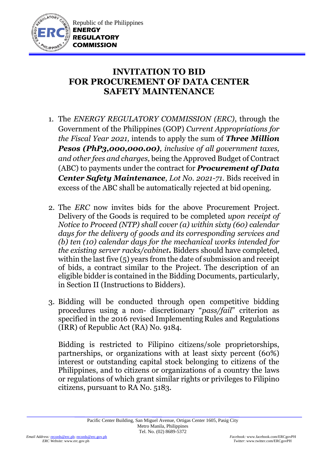

## **INVITATION TO BID FOR PROCUREMENT OF DATA CENTER SAFETY MAINTENANCE**

- 1. The *ENERGY REGULATORY COMMISSION (ERC)*, through the Government of the Philippines (GOP) *Current Appropriations for the Fiscal Year 2021,* intends to apply the sum of *Three Million Pesos (PhP3,000,000.00), inclusive of all government taxes, and other fees and charges,* being the Approved Budget of Contract (ABC) to payments under the contract for *Procurement of Data Center Safety Maintenance, Lot No. 2021-71.* Bids received in excess of the ABC shall be automatically rejected at bid opening.
- 2. The *ERC* now invites bids for the above Procurement Project. Delivery of the Goods is required to be completed *upon receipt of Notice to Proceed (NTP) shall cover (a) within sixty (60) calendar days for the delivery of goods and its corresponding services and (b) ten (10) calendar days for the mechanical works intended for the existing server racks/cabinet.* Bidders should have completed, within the last five (5) years from the date of submission and receipt of bids, a contract similar to the Project. The description of an eligible bidder is contained in the Bidding Documents, particularly, in Section II (Instructions to Bidders).
- 3. Bidding will be conducted through open competitive bidding procedures using a non- discretionary "*pass/fail*" criterion as specified in the 2016 revised Implementing Rules and Regulations (IRR) of Republic Act (RA) No. 9184.

Bidding is restricted to Filipino citizens/sole proprietorships, partnerships, or organizations with at least sixty percent (60%) interest or outstanding capital stock belonging to citizens of the Philippines, and to citizens or organizations of a country the laws or regulations of which grant similar rights or privileges to Filipino citizens, pursuant to RA No. 5183.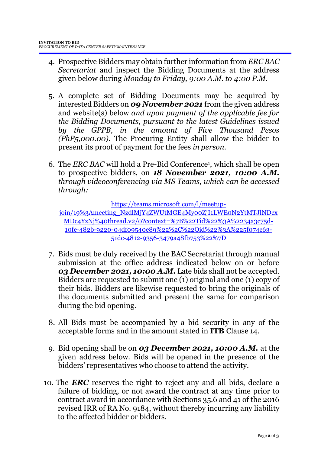- 4. Prospective Bidders may obtain further information from *ERC BAC Secretariat* and inspect the Bidding Documents at the address given below during *Monday to Friday, 9:00 A.M. to 4:00 P.M*.
- 5. A complete set of Bidding Documents may be acquired by interested Bidders on *09 November 2021* from the given address and website(s) below *and upon payment of the applicable fee for the Bidding Documents, pursuant to the latest Guidelines issued by the GPPB, in the amount of Five Thousand Pesos (PhP5,000.00)*. The Procuring Entity shall allow the bidder to present its proof of payment for the fees *in person.*
- 6. The *ERC BAC* will hold a Pre-Bid Conference<sup>1</sup> , which shall be open to prospective bidders, on *18 November 2021, 10:00 A.M. through videoconferencing via MS Teams, which can be accessed through:*

[https://teams.microsoft.com/l/meetup-](https://teams.microsoft.com/l/meetup-join/19%3Ameeting_NzdlMjY4ZWUtMGE4My00ZjI1LWE0N2YtMTJlNDcxMDc4YzNj%40thread.v2/0?context=%7B%22Tid%22%3A%2234a3c75d-10fe-482b-9220-04df09540e89%22%2C%22Oid%22%3A%225f074c63-51dc-4812-9356-3479a48fb753%22%7D)

[join/19%3Ameeting\\_NzdlMjY4ZWUtMGE4My00ZjI1LWE0N2YtMTJlNDcx](https://teams.microsoft.com/l/meetup-join/19%3Ameeting_NzdlMjY4ZWUtMGE4My00ZjI1LWE0N2YtMTJlNDcxMDc4YzNj%40thread.v2/0?context=%7B%22Tid%22%3A%2234a3c75d-10fe-482b-9220-04df09540e89%22%2C%22Oid%22%3A%225f074c63-51dc-4812-9356-3479a48fb753%22%7D) [MDc4YzNj%40thread.v2/0?context=%7B%22Tid%22%3A%2234a3c75d-](https://teams.microsoft.com/l/meetup-join/19%3Ameeting_NzdlMjY4ZWUtMGE4My00ZjI1LWE0N2YtMTJlNDcxMDc4YzNj%40thread.v2/0?context=%7B%22Tid%22%3A%2234a3c75d-10fe-482b-9220-04df09540e89%22%2C%22Oid%22%3A%225f074c63-51dc-4812-9356-3479a48fb753%22%7D)[10fe-482b-9220-04df09540e89%22%2C%22Oid%22%3A%225f074c63-](https://teams.microsoft.com/l/meetup-join/19%3Ameeting_NzdlMjY4ZWUtMGE4My00ZjI1LWE0N2YtMTJlNDcxMDc4YzNj%40thread.v2/0?context=%7B%22Tid%22%3A%2234a3c75d-10fe-482b-9220-04df09540e89%22%2C%22Oid%22%3A%225f074c63-51dc-4812-9356-3479a48fb753%22%7D) [51dc-4812-9356-3479a48fb753%22%7D](https://teams.microsoft.com/l/meetup-join/19%3Ameeting_NzdlMjY4ZWUtMGE4My00ZjI1LWE0N2YtMTJlNDcxMDc4YzNj%40thread.v2/0?context=%7B%22Tid%22%3A%2234a3c75d-10fe-482b-9220-04df09540e89%22%2C%22Oid%22%3A%225f074c63-51dc-4812-9356-3479a48fb753%22%7D)

- 7. Bids must be duly received by the BAC Secretariat through manual submission at the office address indicated below on or before *03 December 2021, 10:00 A.M.* Late bids shall not be accepted. Bidders are requested to submit one (1) original and one (1) copy of their bids. Bidders are likewise requested to bring the originals of the documents submitted and present the same for comparison during the bid opening.
- 8. All Bids must be accompanied by a bid security in any of the acceptable forms and in the amount stated in **ITB** Clause 14.
- 9. Bid opening shall be on *03 December 2021, 10:00 A.M.* at the given address below. Bids will be opened in the presence of the bidders' representatives who choose to attend the activity.
- 10. The *ERC* reserves the right to reject any and all bids, declare a failure of bidding, or not award the contract at any time prior to contract award in accordance with Sections 35.6 and 41 of the 2016 revised IRR of RA No. 9184, without thereby incurring any liability to the affected bidder or bidders.